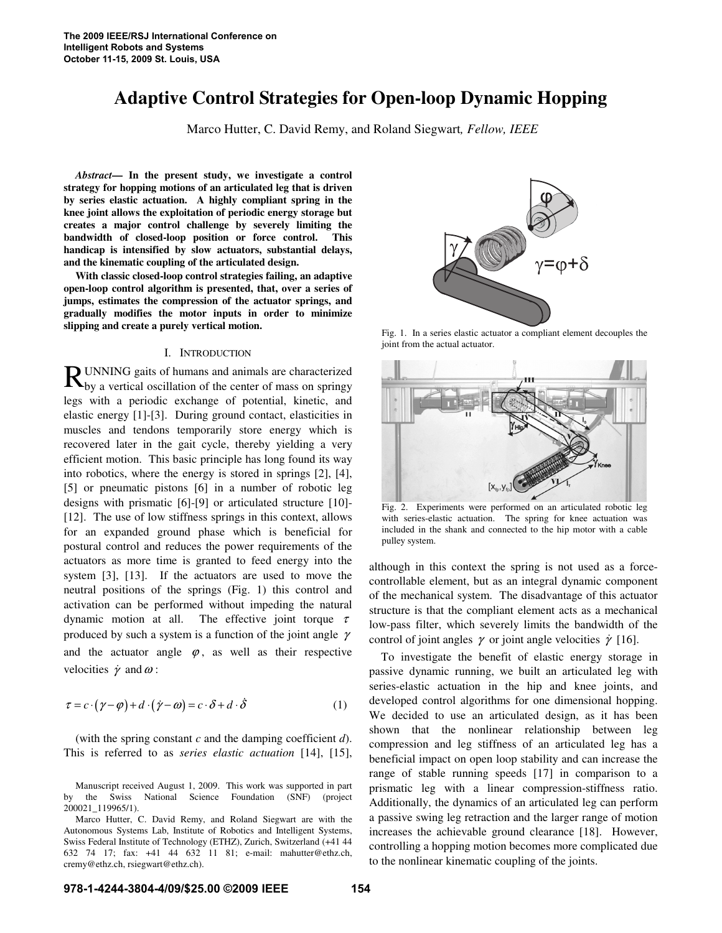# **Adaptive Control Strategies for Open-loop Dynamic Hopping**

Marco Hutter, C. David Remy, and Roland Siegwart*, Fellow, IEEE* 

*Abstract***— In the present study, we investigate a control strategy for hopping motions of an articulated leg that is driven by series elastic actuation. A highly compliant spring in the knee joint allows the exploitation of periodic energy storage but creates a major control challenge by severely limiting the bandwidth of closed-loop position or force control. This handicap is intensified by slow actuators, substantial delays, and the kinematic coupling of the articulated design.** 

**With classic closed-loop control strategies failing, an adaptive open-loop control algorithm is presented, that, over a series of jumps, estimates the compression of the actuator springs, and gradually modifies the motor inputs in order to minimize slipping and create a purely vertical motion.** 

## I. INTRODUCTION

UNNING gaits of humans and animals are characterized  $\mathbf{R}$  UNNING gaits of humans and animals are characterized by a vertical oscillation of the center of mass on springy legs with a periodic exchange of potential, kinetic, and elastic energy [1]-[3]. During ground contact, elasticities in muscles and tendons temporarily store energy which is recovered later in the gait cycle, thereby yielding a very efficient motion. This basic principle has long found its way into robotics, where the energy is stored in springs [2], [4], [5] or pneumatic pistons [6] in a number of robotic leg designs with prismatic [6]-[9] or articulated structure [10]- [12]. The use of low stiffness springs in this context, allows for an expanded ground phase which is beneficial for postural control and reduces the power requirements of the actuators as more time is granted to feed energy into the system [3], [13]. If the actuators are used to move the neutral positions of the springs (Fig. 1) this control and activation can be performed without impeding the natural dynamic motion at all. The effective joint torque  $\tau$ produced by such a system is a function of the joint angle  $\gamma$ and the actuator angle  $\varphi$ , as well as their respective velocities  $\dot{\gamma}$  and  $\omega$ :

$$
\tau = c \cdot (\gamma - \varphi) + d \cdot (\dot{\gamma} - \omega) = c \cdot \delta + d \cdot \dot{\delta}
$$
 (1)

(with the spring constant *c* and the damping coefficient *d*). This is referred to as *series elastic actuation* [14], [15],

Manuscript received August 1, 2009. This work was supported in part by the Swiss National Science Foundation (SNF) (project 200021\_119965/1).



Fig. 1. In a series elastic actuator a compliant element decouples the joint from the actual actuator.



Fig. 2. Experiments were performed on an articulated robotic leg with series-elastic actuation. The spring for knee actuation was included in the shank and connected to the hip motor with a cable pulley system.

although in this context the spring is not used as a forcecontrollable element, but as an integral dynamic component of the mechanical system. The disadvantage of this actuator structure is that the compliant element acts as a mechanical low-pass filter, which severely limits the bandwidth of the control of joint angles  $\gamma$  or joint angle velocities  $\dot{\gamma}$  [16].

To investigate the benefit of elastic energy storage in passive dynamic running, we built an articulated leg with series-elastic actuation in the hip and knee joints, and developed control algorithms for one dimensional hopping. We decided to use an articulated design, as it has been shown that the nonlinear relationship between leg compression and leg stiffness of an articulated leg has a beneficial impact on open loop stability and can increase the range of stable running speeds [17] in comparison to a prismatic leg with a linear compression-stiffness ratio. Additionally, the dynamics of an articulated leg can perform a passive swing leg retraction and the larger range of motion increases the achievable ground clearance [18]. However, controlling a hopping motion becomes more complicated due to the nonlinear kinematic coupling of the joints.

Marco Hutter, C. David Remy, and Roland Siegwart are with the Autonomous Systems Lab, Institute of Robotics and Intelligent Systems, Swiss Federal Institute of Technology (ETHZ), Zurich, Switzerland (+41 44 632 74 17; fax: +41 44 632 11 81; e-mail: mahutter@ethz.ch, cremy@ethz.ch, rsiegwart@ethz.ch).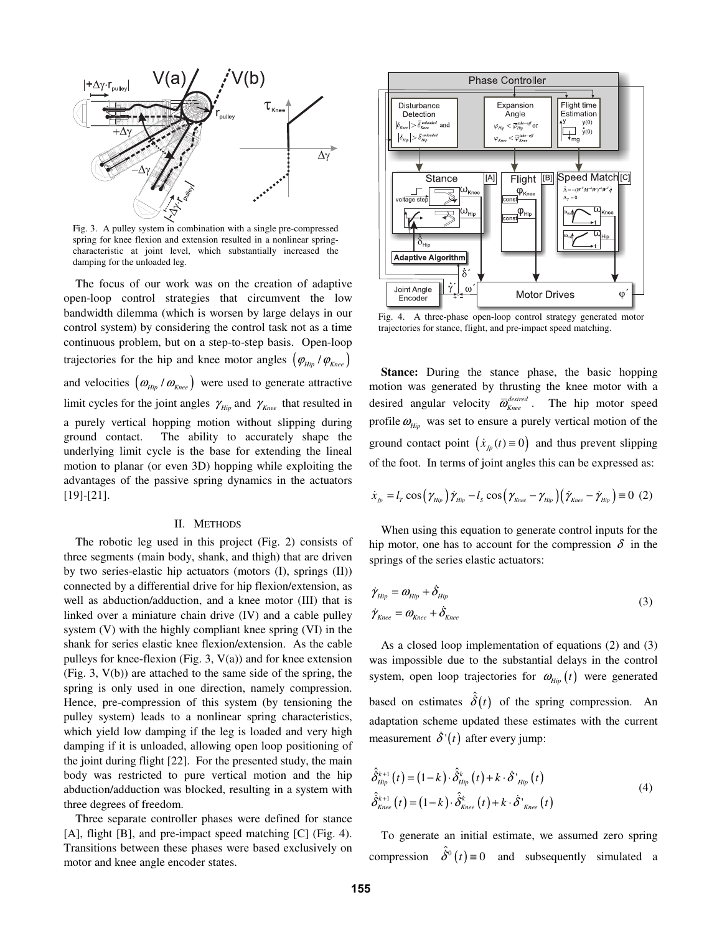

Fig. 3. A pulley system in combination with a single pre-compressed spring for knee flexion and extension resulted in a nonlinear springcharacteristic at joint level, which substantially increased the damping for the unloaded leg.

The focus of our work was on the creation of adaptive open-loop control strategies that circumvent the low bandwidth dilemma (which is worsen by large delays in our control system) by considering the control task not as a time continuous problem, but on a step-to-step basis. Open-loop trajectories for the hip and knee motor angles  $(\varphi_{\scriptscriptstyle Hip}/\varphi_{\scriptscriptstyle Knee})$ and velocities  $(\omega_{\text{Hip}}/\omega_{\text{Knee}})$  were used to generate attractive limit cycles for the joint angles  $\gamma_{\text{Hip}}$  and  $\gamma_{\text{Knee}}$  that resulted in a purely vertical hopping motion without slipping during ground contact. The ability to accurately shape the underlying limit cycle is the base for extending the lineal motion to planar (or even 3D) hopping while exploiting the advantages of the passive spring dynamics in the actuators [19]-[21].

# II. METHODS

The robotic leg used in this project (Fig. 2) consists of three segments (main body, shank, and thigh) that are driven by two series-elastic hip actuators (motors (I), springs (II)) connected by a differential drive for hip flexion/extension, as well as abduction/adduction, and a knee motor (III) that is linked over a miniature chain drive (IV) and a cable pulley system (V) with the highly compliant knee spring (VI) in the shank for series elastic knee flexion/extension. As the cable pulleys for knee-flexion (Fig. 3,  $V(a)$ ) and for knee extension (Fig. 3, V(b)) are attached to the same side of the spring, the spring is only used in one direction, namely compression. Hence, pre-compression of this system (by tensioning the pulley system) leads to a nonlinear spring characteristics, which yield low damping if the leg is loaded and very high damping if it is unloaded, allowing open loop positioning of the joint during flight [22]. For the presented study, the main body was restricted to pure vertical motion and the hip abduction/adduction was blocked, resulting in a system with three degrees of freedom.

Three separate controller phases were defined for stance [A], flight [B], and pre-impact speed matching [C] (Fig. 4). Transitions between these phases were based exclusively on motor and knee angle encoder states.



Fig. 4. A three-phase open-loop control strategy generated motor trajectories for stance, flight, and pre-impact speed matching.

**Stance:** During the stance phase, the basic hopping motion was generated by thrusting the knee motor with a desired angular velocity  $\bar{\omega}_{\text{knee}}^{\text{desired}}$ . The hip motor speed profile  $\omega_{\text{Hip}}$  was set to ensure a purely vertical motion of the ground contact point  $(\dot{x}_p(t) \equiv 0)$  and thus prevent slipping of the foot. In terms of joint angles this can be expressed as:

$$
\dot{x}_{_{fp}} = l_{_{T}} \cos\left(\gamma_{_{Hip}}\right) \dot{\gamma}_{_{Hip}} - l_{_{S}} \cos\left(\gamma_{_{Knee}} - \gamma_{_{Hip}}\right) \left(\dot{\gamma}_{_{Knee}} - \dot{\gamma}_{_{Hip}}\right) \equiv 0 \hspace{0.2cm} (2)
$$

When using this equation to generate control inputs for the hip motor, one has to account for the compression  $\delta$  in the springs of the series elastic actuators:

$$
\dot{\gamma}_{Hip} = \omega_{Hip} + \dot{\delta}_{Hip}
$$
\n
$$
\dot{\gamma}_{Knee} = \omega_{Knee} + \dot{\delta}_{Knee}
$$
\n(3)

As a closed loop implementation of equations (2) and (3) was impossible due to the substantial delays in the control system, open loop trajectories for  $\omega_{\text{Hip}}(t)$  were generated based on estimates  $\hat{\delta}(t)$  of the spring compression. An adaptation scheme updated these estimates with the current measurement  $\dot{\delta}$ <sup>'</sup>(*t*) after every jump:

$$
\hat{\delta}_{Hip}^{k+1}(t) = (1-k) \cdot \hat{\delta}_{Hip}^{k}(t) + k \cdot \hat{\delta}_{Hip}^{k}(t)
$$
\n
$$
\hat{\delta}_{Knee}^{k+1}(t) = (1-k) \cdot \hat{\delta}_{Knee}^{k}(t) + k \cdot \hat{\delta}_{Knee}^{k}(t)
$$
\n(4)

To generate an initial estimate, we assumed zero spring compression  $\hat{\delta}^0(t) \equiv 0$  and subsequently simulated a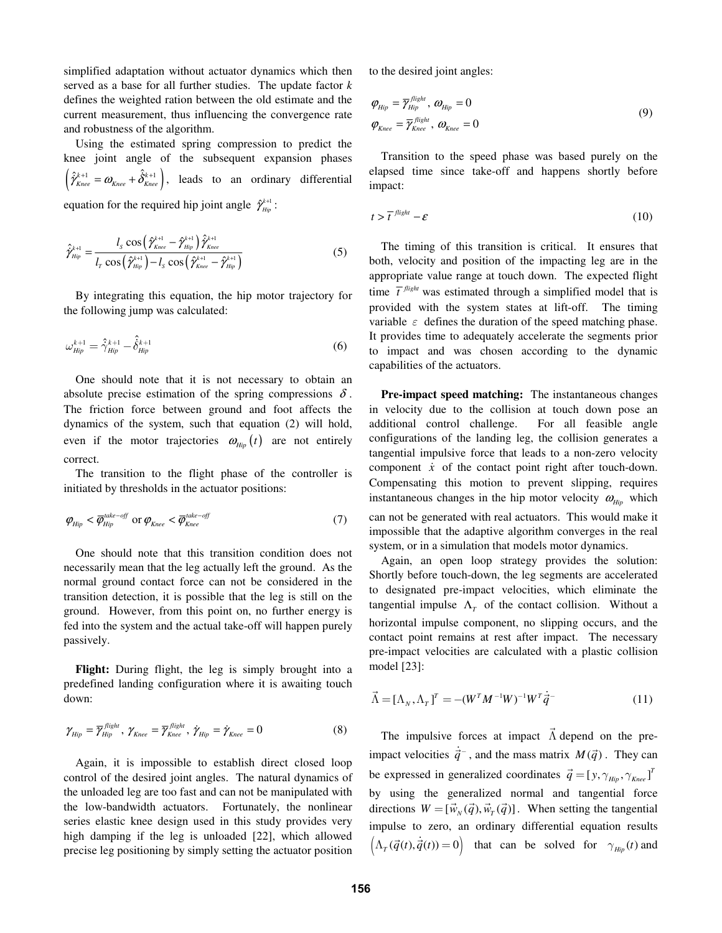simplified adaptation without actuator dynamics which then served as a base for all further studies. The update factor *k* defines the weighted ration between the old estimate and the current measurement, thus influencing the convergence rate and robustness of the algorithm.

Using the estimated spring compression to predict the knee joint angle of the subsequent expansion phases  $\left( \hat{\hat{\gamma}}_{\text{knee}}^{\text{k+1}} = \omega_{\text{knee}} + \hat{\hat{\delta}}_{\text{knee}}^{\text{k+1}} \right)$ , leads to an ordinary differential equation for the required hip joint angle  $\hat{\gamma}^{k+1}_{\text{flip}}$ :

$$
\hat{\gamma}_{Hip}^{k+1} = \frac{l_s \cos\left(\hat{\gamma}_{Knee}^{k+1} - \hat{\gamma}_{Hip}^{k+1}\right) \hat{\gamma}_{Knee}^{k+1}}{l_r \cos\left(\hat{\gamma}_{Hip}^{k+1}\right) - l_s \cos\left(\hat{\gamma}_{Knee}^{k+1} - \hat{\gamma}_{Hip}^{k+1}\right)}
$$
(5)

By integrating this equation, the hip motor trajectory for the following jump was calculated:

$$
\omega_{Hip}^{k+1} = \hat{\gamma}_{Hip}^{k+1} - \hat{\delta}_{Hip}^{k+1}
$$
 (6)

One should note that it is not necessary to obtain an absolute precise estimation of the spring compressions  $\delta$ . The friction force between ground and foot affects the dynamics of the system, such that equation (2) will hold, even if the motor trajectories  $\omega_{\text{Hip}}(t)$  are not entirely correct.

The transition to the flight phase of the controller is initiated by thresholds in the actuator positions:

$$
\varphi_{\text{Hip}} < \overline{\varphi}_{\text{Hip}}^{\text{take-off}} \text{ or } \varphi_{\text{Knee}} < \overline{\varphi}_{\text{Knee}}^{\text{take-off}} \tag{7}
$$

One should note that this transition condition does not necessarily mean that the leg actually left the ground. As the normal ground contact force can not be considered in the transition detection, it is possible that the leg is still on the ground. However, from this point on, no further energy is fed into the system and the actual take-off will happen purely passively.

Flight: During flight, the leg is simply brought into a predefined landing configuration where it is awaiting touch down:

$$
\gamma_{\text{Hip}} = \overline{\gamma}_{\text{Hip}}^{\text{flight}}, \gamma_{\text{Knee}} = \overline{\gamma}_{\text{Knee}}^{\text{flight}}, \dot{\gamma}_{\text{Hip}} = \dot{\gamma}_{\text{Knee}} = 0 \tag{8}
$$

Again, it is impossible to establish direct closed loop control of the desired joint angles. The natural dynamics of the unloaded leg are too fast and can not be manipulated with the low-bandwidth actuators. Fortunately, the nonlinear series elastic knee design used in this study provides very high damping if the leg is unloaded [22], which allowed precise leg positioning by simply setting the actuator position to the desired joint angles:

$$
\varphi_{Hip} = \overline{\gamma}_{Hip}^{flight}, \omega_{Hip} = 0
$$
\n
$$
\varphi_{Knee} = \overline{\gamma}_{Knee}^{flight}, \omega_{Knee} = 0
$$
\n(9)

Transition to the speed phase was based purely on the elapsed time since take-off and happens shortly before impact:

$$
t > \overline{t}^{\text{flight}} - \varepsilon \tag{10}
$$

The timing of this transition is critical. It ensures that both, velocity and position of the impacting leg are in the appropriate value range at touch down. The expected flight time  $\bar{t}$ <sup>*flight*</sup> was estimated through a simplified model that is provided with the system states at lift-off. The timing variable  $\varepsilon$  defines the duration of the speed matching phase. It provides time to adequately accelerate the segments prior to impact and was chosen according to the dynamic capabilities of the actuators.

**Pre-impact speed matching:** The instantaneous changes in velocity due to the collision at touch down pose an additional control challenge. For all feasible angle configurations of the landing leg, the collision generates a tangential impulsive force that leads to a non-zero velocity component  $\dot{x}$  of the contact point right after touch-down. Compensating this motion to prevent slipping, requires instantaneous changes in the hip motor velocity  $\omega_{\mu i p}$  which can not be generated with real actuators. This would make it impossible that the adaptive algorithm converges in the real system, or in a simulation that models motor dynamics.

Again, an open loop strategy provides the solution: Shortly before touch-down, the leg segments are accelerated to designated pre-impact velocities, which eliminate the tangential impulse  $\Lambda$ <sub>*T*</sub> of the contact collision. Without a horizontal impulse component, no slipping occurs, and the contact point remains at rest after impact. The necessary pre-impact velocities are calculated with a plastic collision model [23]:

$$
\vec{\Lambda} = [\Lambda_N, \Lambda_T]^T = -(W^T M^{-1} W)^{-1} W^T \dot{\vec{q}}^-(11)
$$

The impulsive forces at impact  $\Lambda$  $\vec{\Lambda}$  depend on the preimpact velocities  $\dot{\vec{q}}$ <sup>-</sup>, and the mass matrix *M*( $\vec{q}$ ). They can be expressed in generalized coordinates  $\vec{q} = [y, \gamma_{Hip}, \gamma_{Knee}]^T$ by using the generalized normal and tangential force directions  $W = [\vec{w}_N(\vec{q}), \vec{w}_T(\vec{q})]$ . When setting the tangential impulse to zero, an ordinary differential equation results  $(\Lambda_r(\vec{q}(t), \vec{q}(t))) = 0$  that can be solved for  $\gamma_{Hip}(t)$  and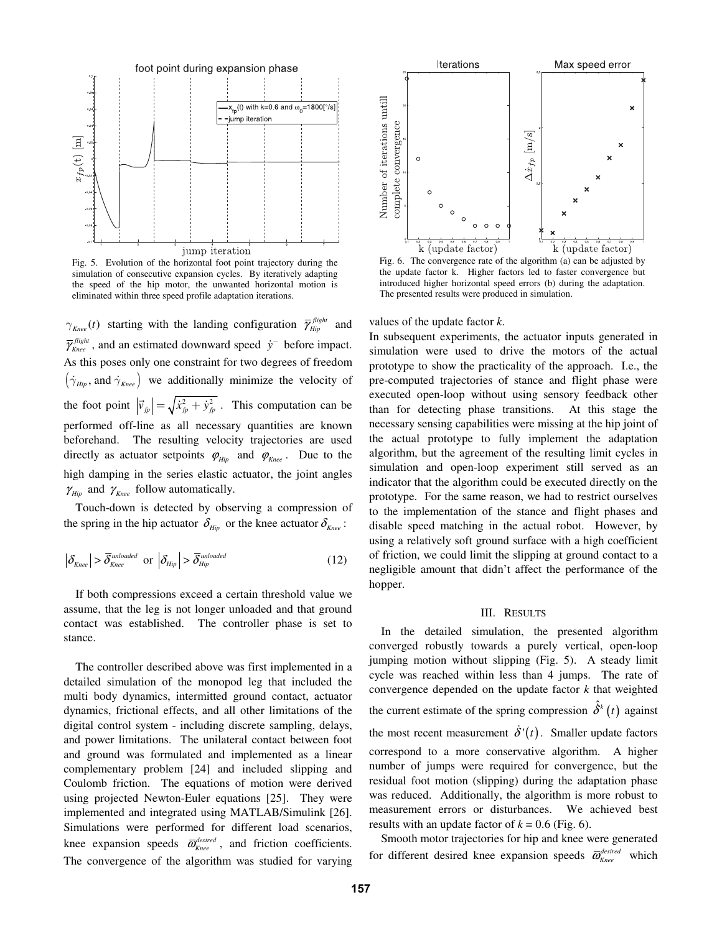

Fig. 5. Evolution of the horizontal foot point trajectory during the simulation of consecutive expansion cycles. By iteratively adapting the speed of the hip motor, the unwanted horizontal motion is eliminated within three speed profile adaptation iterations.

 $\gamma_{Knee}(t)$  starting with the landing configuration  $\overline{\gamma}_{Hip}^{flight}$  and  $\overline{\gamma}_{Knee}^{flight}$ , and an estimated downward speed  $\dot{y}^-$  before impact. As this poses only one constraint for two degrees of freedom  $(\dot{\gamma}_{\text{Hiv}})$ , and  $\dot{\gamma}_{\text{Knee}})$  we additionally minimize the velocity of the foot point  $|\vec{v}_{fp}| = \sqrt{\dot{x}_{fp}^2 + \dot{y}_{fp}^2}$ . This computation can be performed off-line as all necessary quantities are known beforehand. The resulting velocity trajectories are used directly as actuator setpoints  $\varphi_{\text{Hip}}$  and  $\varphi_{\text{Knee}}$ . Due to the high damping in the series elastic actuator, the joint angles  $\gamma_{\text{Hip}}$  and  $\gamma_{\text{Knee}}$  follow automatically.

Touch-down is detected by observing a compression of the spring in the hip actuator  $\delta_{\mu i p}$  or the knee actuator  $\delta_{\kappa n e e}$ :

$$
\left|\delta_{Knee}\right| > \overline{\delta}_{Knee}^{unloaded} \text{ or } \left|\delta_{Hip}\right| > \overline{\delta}_{Hip}^{unloaded} \tag{12}
$$

If both compressions exceed a certain threshold value we assume, that the leg is not longer unloaded and that ground contact was established. The controller phase is set to stance.

The controller described above was first implemented in a detailed simulation of the monopod leg that included the multi body dynamics, intermitted ground contact, actuator dynamics, frictional effects, and all other limitations of the digital control system - including discrete sampling, delays, and power limitations. The unilateral contact between foot and ground was formulated and implemented as a linear complementary problem [24] and included slipping and Coulomb friction. The equations of motion were derived using projected Newton-Euler equations [25]. They were implemented and integrated using MATLAB/Simulink [26]. Simulations were performed for different load scenarios, knee expansion speeds  $\overline{\omega}_{Knee}^{desired}$ , and friction coefficients. The convergence of the algorithm was studied for varying



Fig. 6. The convergence rate of the algorithm (a) can be adjusted by the update factor k. Higher factors led to faster convergence but introduced higher horizontal speed errors (b) during the adaptation. The presented results were produced in simulation.

values of the update factor *k*.

In subsequent experiments, the actuator inputs generated in simulation were used to drive the motors of the actual prototype to show the practicality of the approach. I.e., the pre-computed trajectories of stance and flight phase were executed open-loop without using sensory feedback other than for detecting phase transitions. At this stage the necessary sensing capabilities were missing at the hip joint of the actual prototype to fully implement the adaptation algorithm, but the agreement of the resulting limit cycles in simulation and open-loop experiment still served as an indicator that the algorithm could be executed directly on the prototype. For the same reason, we had to restrict ourselves to the implementation of the stance and flight phases and disable speed matching in the actual robot. However, by using a relatively soft ground surface with a high coefficient of friction, we could limit the slipping at ground contact to a negligible amount that didn't affect the performance of the hopper.

## III. RESULTS

In the detailed simulation, the presented algorithm converged robustly towards a purely vertical, open-loop jumping motion without slipping (Fig. 5). A steady limit cycle was reached within less than 4 jumps. The rate of convergence depended on the update factor *k* that weighted the current estimate of the spring compression  $\hat{\delta}^k(t)$  against the most recent measurement  $\dot{\delta}'(t)$ . Smaller update factors correspond to a more conservative algorithm. A higher number of jumps were required for convergence, but the residual foot motion (slipping) during the adaptation phase was reduced. Additionally, the algorithm is more robust to measurement errors or disturbances. We achieved best results with an update factor of  $k = 0.6$  (Fig. 6).

Smooth motor trajectories for hip and knee were generated for different desired knee expansion speeds  $\overline{\omega}_{\text{Knee}}^{\text{desired}}$  which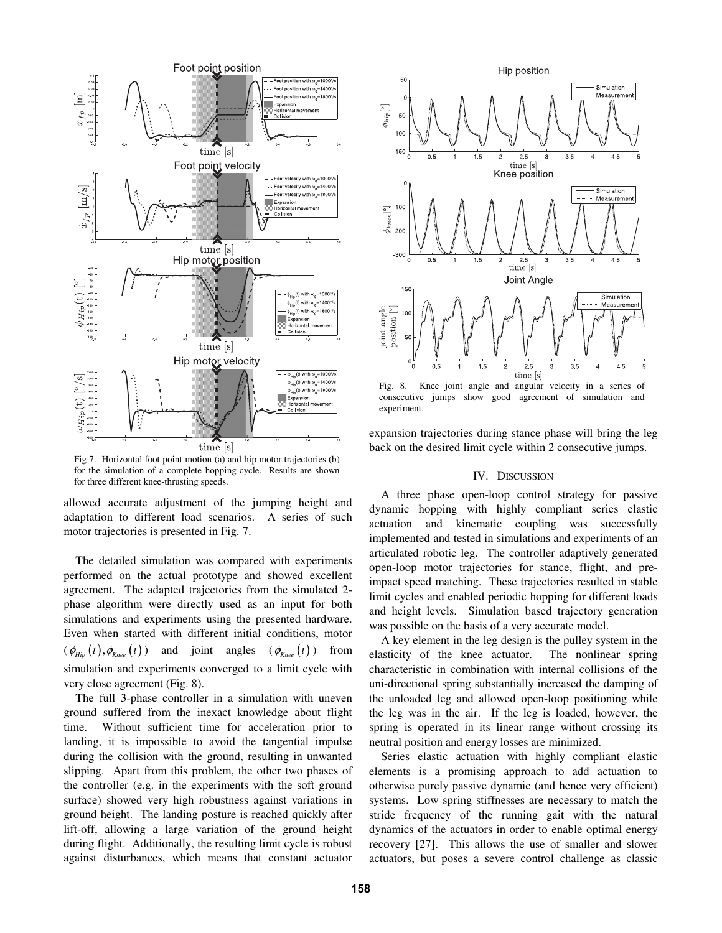

Fig 7. Horizontal foot point motion (a) and hip motor trajectories (b) for the simulation of a complete hopping-cycle. Results are shown for three different knee-thrusting speeds.

allowed accurate adjustment of the jumping height and adaptation to different load scenarios. A series of such motor trajectories is presented in Fig. 7.

The detailed simulation was compared with experiments performed on the actual prototype and showed excellent agreement. The adapted trajectories from the simulated 2 phase algorithm were directly used as an input for both simulations and experiments using the presented hardware. Even when started with different initial conditions, motor  $(\phi_{\text{Hip}}(t), \phi_{\text{Knee}}(t))$  and joint angles  $(\phi_{\text{Knee}}(t))$  from simulation and experiments converged to a limit cycle with very close agreement (Fig. 8).

The full 3-phase controller in a simulation with uneven ground suffered from the inexact knowledge about flight time. Without sufficient time for acceleration prior to landing, it is impossible to avoid the tangential impulse during the collision with the ground, resulting in unwanted slipping. Apart from this problem, the other two phases of the controller (e.g. in the experiments with the soft ground surface) showed very high robustness against variations in ground height. The landing posture is reached quickly after lift-off, allowing a large variation of the ground height during flight. Additionally, the resulting limit cycle is robust against disturbances, which means that constant actuator



consecutive jumps show good agreement of simulation and experiment.

expansion trajectories during stance phase will bring the leg back on the desired limit cycle within 2 consecutive jumps.

## IV. DISCUSSION

A three phase open-loop control strategy for passive dynamic hopping with highly compliant series elastic actuation and kinematic coupling was successfully implemented and tested in simulations and experiments of an articulated robotic leg. The controller adaptively generated open-loop motor trajectories for stance, flight, and preimpact speed matching. These trajectories resulted in stable limit cycles and enabled periodic hopping for different loads and height levels. Simulation based trajectory generation was possible on the basis of a very accurate model.

A key element in the leg design is the pulley system in the elasticity of the knee actuator. The nonlinear spring characteristic in combination with internal collisions of the uni-directional spring substantially increased the damping of the unloaded leg and allowed open-loop positioning while the leg was in the air. If the leg is loaded, however, the spring is operated in its linear range without crossing its neutral position and energy losses are minimized.

Series elastic actuation with highly compliant elastic elements is a promising approach to add actuation to otherwise purely passive dynamic (and hence very efficient) systems. Low spring stiffnesses are necessary to match the stride frequency of the running gait with the natural dynamics of the actuators in order to enable optimal energy recovery [27]. This allows the use of smaller and slower actuators, but poses a severe control challenge as classic